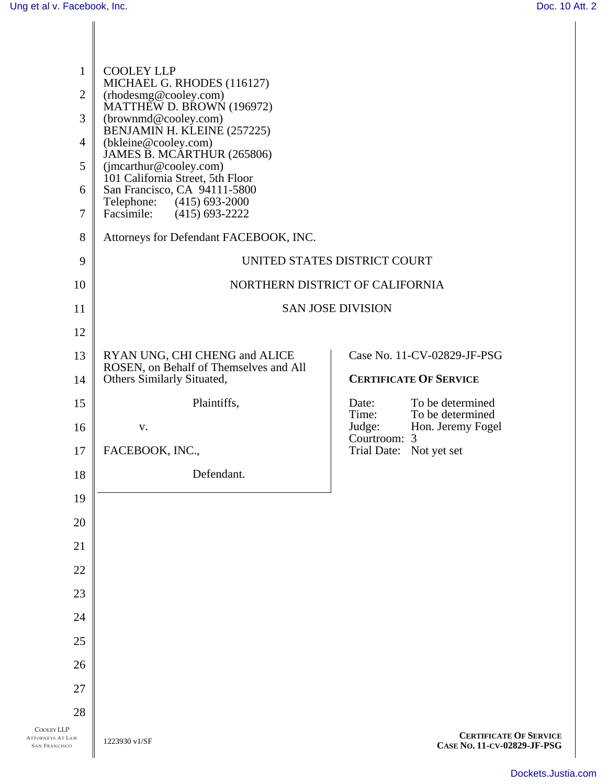| $\mathbf{1}$<br>$\overline{2}$<br>3<br>$\overline{4}$<br>5<br>6<br>$\tau$ | <b>COOLEY LLP</b><br>MICHAEL G. RHODES (116127)<br>(rhodesmg@cooley.com)<br>MATTHEW D. BROWN (196972)<br>(brownmd@cooley.com)<br>BENJAMIN H. KLEINE (257225)<br>(bkleine@cooley.com)<br>JAMES B. MCARTHUR (265806)<br>(jmcarthur@cooley.com)<br>101 California Street, 5th Floor<br>San Francisco, CA 94111-5800<br>$(415)$ 693-2000<br>Telephone:<br>Facsimile:<br>$(415)$ 693-2222 |                                                   |                                                              |
|---------------------------------------------------------------------------|--------------------------------------------------------------------------------------------------------------------------------------------------------------------------------------------------------------------------------------------------------------------------------------------------------------------------------------------------------------------------------------|---------------------------------------------------|--------------------------------------------------------------|
| 8                                                                         | Attorneys for Defendant FACEBOOK, INC.                                                                                                                                                                                                                                                                                                                                               |                                                   |                                                              |
| 9                                                                         | UNITED STATES DISTRICT COURT                                                                                                                                                                                                                                                                                                                                                         |                                                   |                                                              |
| 10                                                                        | NORTHERN DISTRICT OF CALIFORNIA                                                                                                                                                                                                                                                                                                                                                      |                                                   |                                                              |
| 11                                                                        | <b>SAN JOSE DIVISION</b>                                                                                                                                                                                                                                                                                                                                                             |                                                   |                                                              |
| 12                                                                        |                                                                                                                                                                                                                                                                                                                                                                                      |                                                   |                                                              |
| 13                                                                        | RYAN UNG, CHI CHENG and ALICE<br>ROSEN, on Behalf of Themselves and All                                                                                                                                                                                                                                                                                                              |                                                   | Case No. 11-CV-02829-JF-PSG                                  |
| 14                                                                        | Others Similarly Situated,                                                                                                                                                                                                                                                                                                                                                           |                                                   | <b>CERTIFICATE OF SERVICE</b>                                |
| 15<br>16                                                                  | Plaintiffs,                                                                                                                                                                                                                                                                                                                                                                          | Date:<br>Time:                                    | To be determined<br>To be determined                         |
| 17                                                                        | V.<br>FACEBOOK, INC.,                                                                                                                                                                                                                                                                                                                                                                | Judge:<br>Courtroom: 3<br>Trial Date: Not yet set | Hon. Jeremy Fogel                                            |
| 18                                                                        | Defendant.                                                                                                                                                                                                                                                                                                                                                                           |                                                   |                                                              |
| 19                                                                        |                                                                                                                                                                                                                                                                                                                                                                                      |                                                   |                                                              |
| 20                                                                        |                                                                                                                                                                                                                                                                                                                                                                                      |                                                   |                                                              |
| 21                                                                        |                                                                                                                                                                                                                                                                                                                                                                                      |                                                   |                                                              |
| 22                                                                        |                                                                                                                                                                                                                                                                                                                                                                                      |                                                   |                                                              |
| 23                                                                        |                                                                                                                                                                                                                                                                                                                                                                                      |                                                   |                                                              |
| 24                                                                        |                                                                                                                                                                                                                                                                                                                                                                                      |                                                   |                                                              |
| 25                                                                        |                                                                                                                                                                                                                                                                                                                                                                                      |                                                   |                                                              |
| 26                                                                        |                                                                                                                                                                                                                                                                                                                                                                                      |                                                   |                                                              |
| 27                                                                        |                                                                                                                                                                                                                                                                                                                                                                                      |                                                   |                                                              |
| 28                                                                        |                                                                                                                                                                                                                                                                                                                                                                                      |                                                   |                                                              |
| <b>COOLEY LLP</b><br><b>ATTORNEYS AT LAW</b><br><b>SAN FRANCISCO</b>      | 1223930 v1/SF                                                                                                                                                                                                                                                                                                                                                                        |                                                   | <b>CERTIFICATE OF SERVICE</b><br>CASE No. 11-CV-02829-JF-PSG |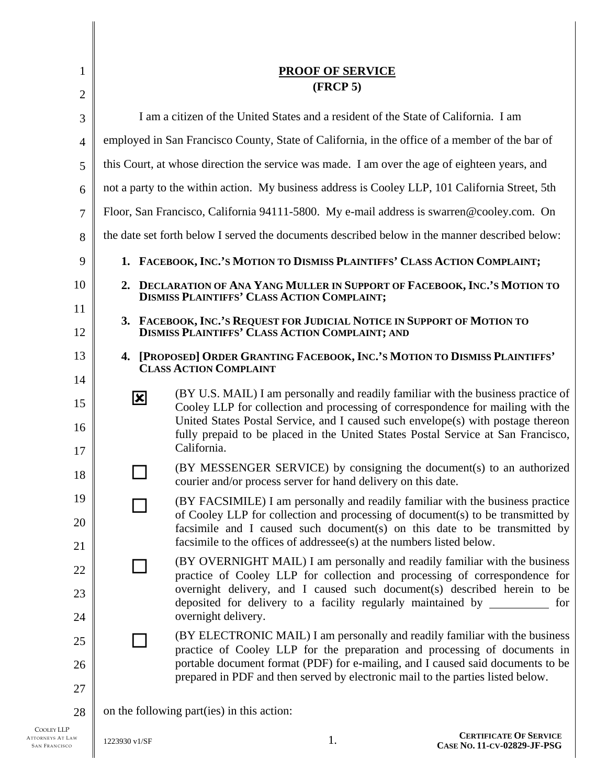| 1              |                                                                                                 | <b>PROOF OF SERVICE</b>                                                                                                                                                                                                                                                                                                                      |  |  |  |
|----------------|-------------------------------------------------------------------------------------------------|----------------------------------------------------------------------------------------------------------------------------------------------------------------------------------------------------------------------------------------------------------------------------------------------------------------------------------------------|--|--|--|
| $\overline{2}$ |                                                                                                 | (FRCP 5)                                                                                                                                                                                                                                                                                                                                     |  |  |  |
| 3              | I am a citizen of the United States and a resident of the State of California. I am             |                                                                                                                                                                                                                                                                                                                                              |  |  |  |
| $\overline{4}$ | employed in San Francisco County, State of California, in the office of a member of the bar of  |                                                                                                                                                                                                                                                                                                                                              |  |  |  |
| 5              | this Court, at whose direction the service was made. I am over the age of eighteen years, and   |                                                                                                                                                                                                                                                                                                                                              |  |  |  |
| 6              | not a party to the within action. My business address is Cooley LLP, 101 California Street, 5th |                                                                                                                                                                                                                                                                                                                                              |  |  |  |
| $\overline{7}$ | Floor, San Francisco, California 94111-5800. My e-mail address is swarren@cooley.com. On        |                                                                                                                                                                                                                                                                                                                                              |  |  |  |
| 8              | the date set forth below I served the documents described below in the manner described below:  |                                                                                                                                                                                                                                                                                                                                              |  |  |  |
| 9              |                                                                                                 | 1. FACEBOOK, INC.'S MOTION TO DISMISS PLAINTIFFS' CLASS ACTION COMPLAINT;                                                                                                                                                                                                                                                                    |  |  |  |
| 10             |                                                                                                 | 2. DECLARATION OF ANA YANG MULLER IN SUPPORT OF FACEBOOK, INC.'S MOTION TO<br><b>DISMISS PLAINTIFFS' CLASS ACTION COMPLAINT;</b>                                                                                                                                                                                                             |  |  |  |
| 11             |                                                                                                 | 3. FACEBOOK, INC.'S REQUEST FOR JUDICIAL NOTICE IN SUPPORT OF MOTION TO                                                                                                                                                                                                                                                                      |  |  |  |
| 12             | <b>DISMISS PLAINTIFFS' CLASS ACTION COMPLAINT; AND</b>                                          |                                                                                                                                                                                                                                                                                                                                              |  |  |  |
| 13<br>14       |                                                                                                 | 4. [PROPOSED] ORDER GRANTING FACEBOOK, INC.'S MOTION TO DISMISS PLAINTIFFS'<br><b>CLASS ACTION COMPLAINT</b>                                                                                                                                                                                                                                 |  |  |  |
| 15<br>16       | $\mathbf{\overline{x}}$                                                                         | (BY U.S. MAIL) I am personally and readily familiar with the business practice of<br>Cooley LLP for collection and processing of correspondence for mailing with the<br>United States Postal Service, and I caused such envelope(s) with postage thereon<br>fully prepaid to be placed in the United States Postal Service at San Francisco, |  |  |  |
| 17             |                                                                                                 | California.                                                                                                                                                                                                                                                                                                                                  |  |  |  |
| 18             |                                                                                                 | (BY MESSENGER SERVICE) by consigning the document(s) to an authorized<br>courier and/or process server for hand delivery on this date.                                                                                                                                                                                                       |  |  |  |
| 19<br>20       |                                                                                                 | (BY FACSIMILE) I am personally and readily familiar with the business practice<br>of Cooley LLP for collection and processing of document(s) to be transmitted by<br>facsimile and I caused such document(s) on this date to be transmitted by                                                                                               |  |  |  |
| 21             |                                                                                                 | facsimile to the offices of addressee(s) at the numbers listed below.                                                                                                                                                                                                                                                                        |  |  |  |
| 22             |                                                                                                 | (BY OVERNIGHT MAIL) I am personally and readily familiar with the business<br>practice of Cooley LLP for collection and processing of correspondence for<br>overnight delivery, and I caused such document(s) described herein to be                                                                                                         |  |  |  |
| 23<br>24       |                                                                                                 | deposited for delivery to a facility regularly maintained by __________ for<br>overnight delivery.                                                                                                                                                                                                                                           |  |  |  |
| 25             |                                                                                                 | (BY ELECTRONIC MAIL) I am personally and readily familiar with the business<br>practice of Cooley LLP for the preparation and processing of documents in                                                                                                                                                                                     |  |  |  |
| 26             |                                                                                                 | portable document format (PDF) for e-mailing, and I caused said documents to be<br>prepared in PDF and then served by electronic mail to the parties listed below.                                                                                                                                                                           |  |  |  |
| 27             |                                                                                                 |                                                                                                                                                                                                                                                                                                                                              |  |  |  |
| 28             |                                                                                                 | on the following part (ies) in this action:                                                                                                                                                                                                                                                                                                  |  |  |  |

COOLEY LLP ATTORNEYS AT LAW SAN FRANCISCO